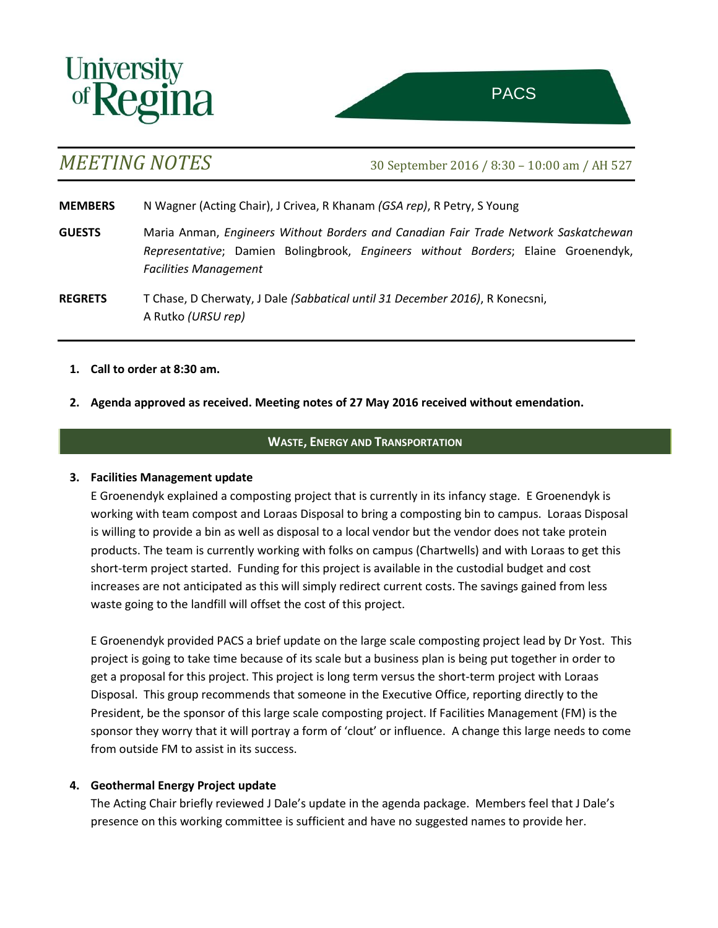



*MEETING NOTES* 30 September <sup>2016</sup> / 8:30 – 10:00 am / AH 527

**MEMBERS** N Wagner (Acting Chair), J Crivea, R Khanam *(GSA rep)*, R Petry, S Young

- **GUESTS** Maria Anman, *Engineers Without Borders and Canadian Fair Trade Network Saskatchewan Representative*; Damien Bolingbrook, *Engineers without Borders*; Elaine Groenendyk, *Facilities Management*
- **REGRETS** T Chase, D Cherwaty, J Dale *(Sabbatical until 31 December 2016)*, R Konecsni, A Rutko *(URSU rep)*
	- **1. Call to order at 8:30 am.**
	- **2. Agenda approved as received. Meeting notes of 27 May 2016 received without emendation.**

# **WASTE, ENERGY AND TRANSPORTATION**

## **3. Facilities Management update**

E Groenendyk explained a composting project that is currently in its infancy stage. E Groenendyk is working with team compost and Loraas Disposal to bring a composting bin to campus. Loraas Disposal is willing to provide a bin as well as disposal to a local vendor but the vendor does not take protein products. The team is currently working with folks on campus (Chartwells) and with Loraas to get this short-term project started. Funding for this project is available in the custodial budget and cost increases are not anticipated as this will simply redirect current costs. The savings gained from less waste going to the landfill will offset the cost of this project.

E Groenendyk provided PACS a brief update on the large scale composting project lead by Dr Yost. This project is going to take time because of its scale but a business plan is being put together in order to get a proposal for this project. This project is long term versus the short-term project with Loraas Disposal. This group recommends that someone in the Executive Office, reporting directly to the President, be the sponsor of this large scale composting project. If Facilities Management (FM) is the sponsor they worry that it will portray a form of 'clout' or influence. A change this large needs to come from outside FM to assist in its success.

# **4. Geothermal Energy Project update**

The Acting Chair briefly reviewed J Dale's update in the agenda package. Members feel that J Dale's presence on this working committee is sufficient and have no suggested names to provide her.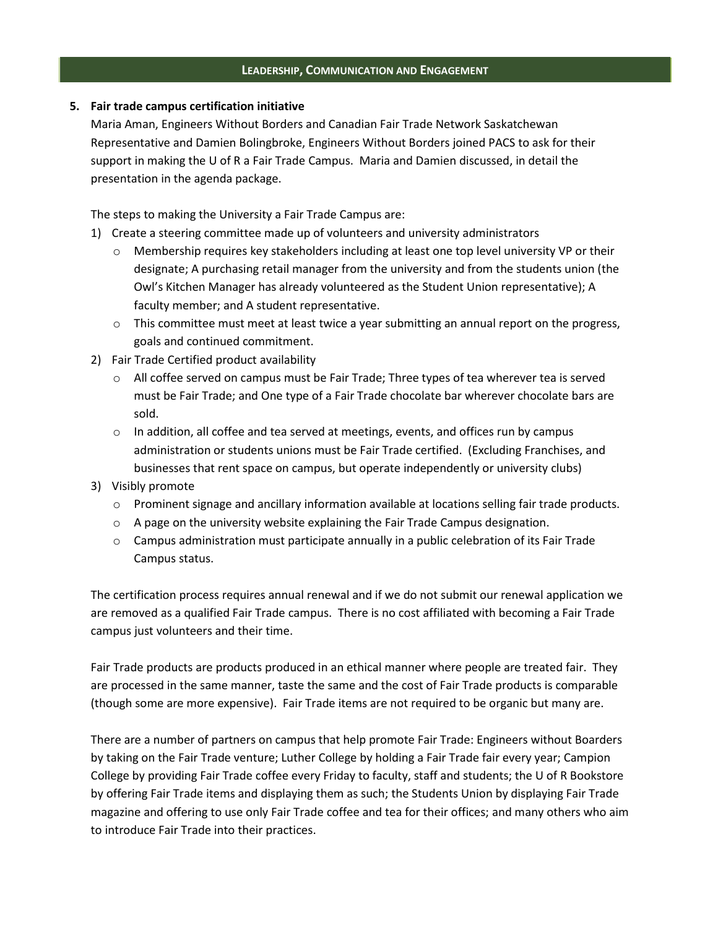## **LEADERSHIP, COMMUNICATION AND ENGAGEMENT**

## **5. Fair trade campus certification initiative**

Maria Aman, Engineers Without Borders and Canadian Fair Trade Network Saskatchewan Representative and Damien Bolingbroke, Engineers Without Borders joined PACS to ask for their support in making the U of R a Fair Trade Campus. Maria and Damien discussed, in detail the presentation in the agenda package.

The steps to making the University a Fair Trade Campus are:

- 1) Create a steering committee made up of volunteers and university administrators
	- o Membership requires key stakeholders including at least one top level university VP or their designate; A purchasing retail manager from the university and from the students union (the Owl's Kitchen Manager has already volunteered as the Student Union representative); A faculty member; and A student representative.
	- $\circ$  This committee must meet at least twice a year submitting an annual report on the progress, goals and continued commitment.
- 2) Fair Trade Certified product availability
	- $\circ$  All coffee served on campus must be Fair Trade; Three types of tea wherever tea is served must be Fair Trade; and One type of a Fair Trade chocolate bar wherever chocolate bars are sold.
	- $\circ$  In addition, all coffee and tea served at meetings, events, and offices run by campus administration or students unions must be Fair Trade certified. (Excluding Franchises, and businesses that rent space on campus, but operate independently or university clubs)
- 3) Visibly promote
	- o Prominent signage and ancillary information available at locations selling fair trade products.
	- o A page on the university website explaining the Fair Trade Campus designation.
	- $\circ$  Campus administration must participate annually in a public celebration of its Fair Trade Campus status.

The certification process requires annual renewal and if we do not submit our renewal application we are removed as a qualified Fair Trade campus. There is no cost affiliated with becoming a Fair Trade campus just volunteers and their time.

Fair Trade products are products produced in an ethical manner where people are treated fair. They are processed in the same manner, taste the same and the cost of Fair Trade products is comparable (though some are more expensive). Fair Trade items are not required to be organic but many are.

There are a number of partners on campus that help promote Fair Trade: Engineers without Boarders by taking on the Fair Trade venture; Luther College by holding a Fair Trade fair every year; Campion College by providing Fair Trade coffee every Friday to faculty, staff and students; the U of R Bookstore by offering Fair Trade items and displaying them as such; the Students Union by displaying Fair Trade magazine and offering to use only Fair Trade coffee and tea for their offices; and many others who aim to introduce Fair Trade into their practices.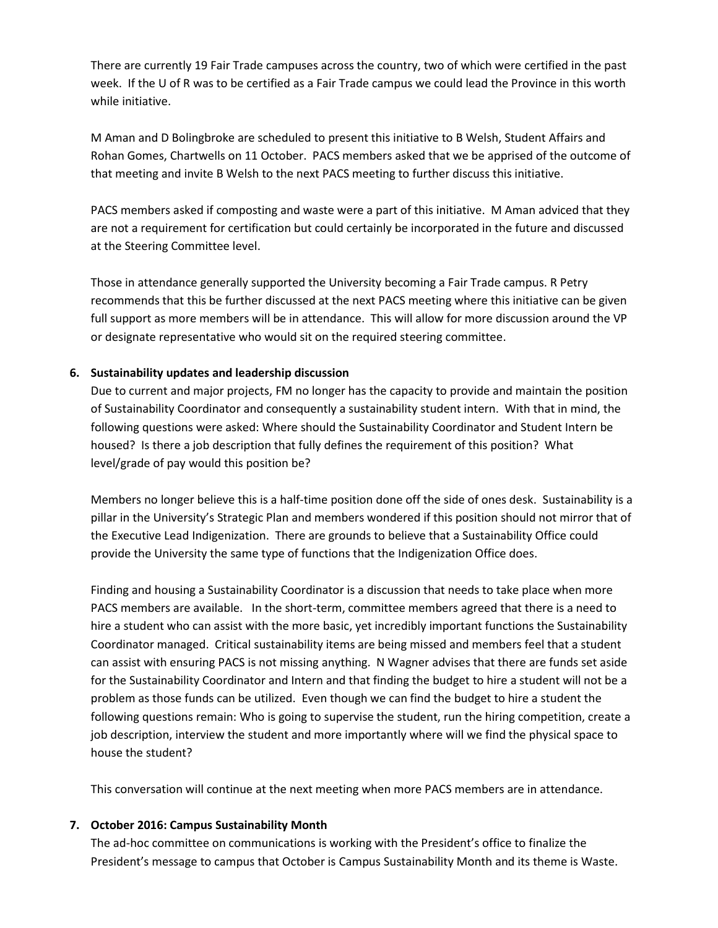There are currently 19 Fair Trade campuses across the country, two of which were certified in the past week. If the U of R was to be certified as a Fair Trade campus we could lead the Province in this worth while initiative.

M Aman and D Bolingbroke are scheduled to present this initiative to B Welsh, Student Affairs and Rohan Gomes, Chartwells on 11 October. PACS members asked that we be apprised of the outcome of that meeting and invite B Welsh to the next PACS meeting to further discuss this initiative.

PACS members asked if composting and waste were a part of this initiative. M Aman adviced that they are not a requirement for certification but could certainly be incorporated in the future and discussed at the Steering Committee level.

Those in attendance generally supported the University becoming a Fair Trade campus. R Petry recommends that this be further discussed at the next PACS meeting where this initiative can be given full support as more members will be in attendance. This will allow for more discussion around the VP or designate representative who would sit on the required steering committee.

# **6. Sustainability updates and leadership discussion**

Due to current and major projects, FM no longer has the capacity to provide and maintain the position of Sustainability Coordinator and consequently a sustainability student intern. With that in mind, the following questions were asked: Where should the Sustainability Coordinator and Student Intern be housed? Is there a job description that fully defines the requirement of this position? What level/grade of pay would this position be?

Members no longer believe this is a half-time position done off the side of ones desk. Sustainability is a pillar in the University's Strategic Plan and members wondered if this position should not mirror that of the Executive Lead Indigenization. There are grounds to believe that a Sustainability Office could provide the University the same type of functions that the Indigenization Office does.

Finding and housing a Sustainability Coordinator is a discussion that needs to take place when more PACS members are available. In the short-term, committee members agreed that there is a need to hire a student who can assist with the more basic, yet incredibly important functions the Sustainability Coordinator managed. Critical sustainability items are being missed and members feel that a student can assist with ensuring PACS is not missing anything. N Wagner advises that there are funds set aside for the Sustainability Coordinator and Intern and that finding the budget to hire a student will not be a problem as those funds can be utilized. Even though we can find the budget to hire a student the following questions remain: Who is going to supervise the student, run the hiring competition, create a job description, interview the student and more importantly where will we find the physical space to house the student?

This conversation will continue at the next meeting when more PACS members are in attendance.

# **7. October 2016: Campus Sustainability Month**

The ad-hoc committee on communications is working with the President's office to finalize the President's message to campus that October is Campus Sustainability Month and its theme is Waste.